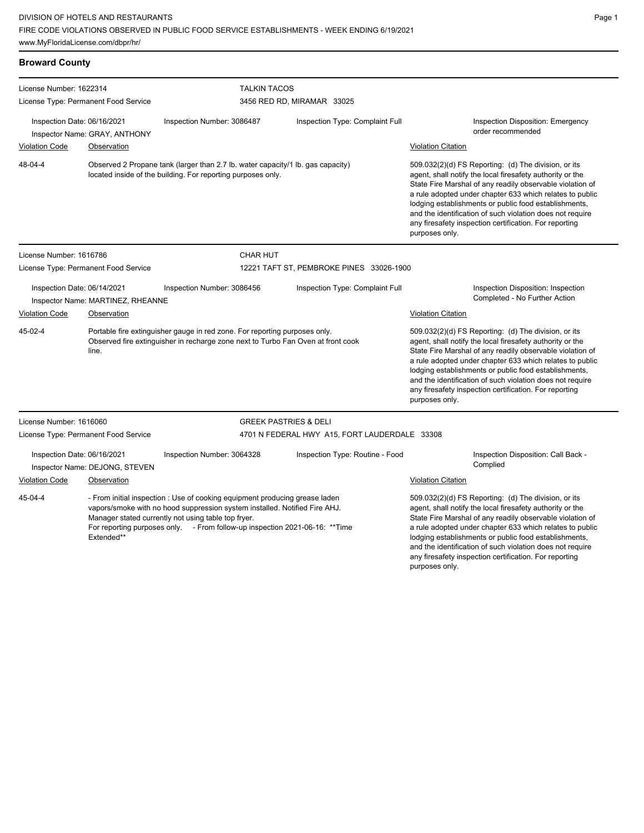License Number: 1616786

License Type: Permanent Food Service

| <b>Broward County</b>                                           |                                                                                                                                                 |                                                   |                                 |                           |                                                                                                                                                                                                                                                                                                                                                                                                                            |
|-----------------------------------------------------------------|-------------------------------------------------------------------------------------------------------------------------------------------------|---------------------------------------------------|---------------------------------|---------------------------|----------------------------------------------------------------------------------------------------------------------------------------------------------------------------------------------------------------------------------------------------------------------------------------------------------------------------------------------------------------------------------------------------------------------------|
| License Number: 1622314<br>License Type: Permanent Food Service |                                                                                                                                                 | <b>TALKIN TACOS</b><br>3456 RED RD, MIRAMAR 33025 |                                 |                           |                                                                                                                                                                                                                                                                                                                                                                                                                            |
| Inspection Date: 06/16/2021<br><b>Violation Code</b>            | Inspector Name: GRAY, ANTHONY<br>Observation                                                                                                    | Inspection Number: 3086487                        | Inspection Type: Complaint Full | <b>Violation Citation</b> | Inspection Disposition: Emergency<br>order recommended                                                                                                                                                                                                                                                                                                                                                                     |
| 48-04-4                                                         | Observed 2 Propane tank (larger than 2.7 lb. water capacity/1 lb. gas capacity)<br>located inside of the building. For reporting purposes only. |                                                   |                                 |                           | 509.032(2)(d) FS Reporting: (d) The division, or its<br>agent, shall notify the local firesafety authority or the<br>State Fire Marshal of any readily observable violation of<br>a rule adopted under chapter 633 which relates to public<br>lodging establishments or public food establishments,<br>and the identification of such violation does not require<br>any firesafety inspection certification. For reporting |

Inspection Date: 06/14/2021 Inspection Number: 3086456 Inspection Type: Complaint Full Inspection Disposition: Inspection Inspector Name: MARTINEZ, RHEANNE Violation Code Observation Violation Citation Portable fire extinguisher gauge in red zone. For reporting purposes only. Observed fire extinguisher in recharge zone next to Turbo Fan Oven at front cook line. 509.032(2)(d) FS Reporting: (d) The division, or its agent, shall notify the local firesafety authority or the State Fire Marshal of any readily observable violation of a rule adopted under chapter 633 which relates to public lodging establishments or public food establishments, and the identification of such violation does not require 45-02-4

CHAR HUT

any firesafety inspection certification. For reporting purposes only. License Number: 1616060 License Type: Permanent Food Service GREEK PASTRIES & DELI 4701 N FEDERAL HWY A15, FORT LAUDERDALE 33308 Inspection Date: 06/16/2021 Inspection Number: 3064328 Inspection Type: Routine - Food Inspection Disposition: Call Back -Complied Inspector Name: DEJONG, STEVEN Violation Code Observation Violation Citation - From initial inspection : Use of cooking equipment producing grease laden vapors/smoke with no hood suppression system installed. Notified Fire AHJ. Manager stated currently not using table top fryer. For reporting purposes only. - From follow-up inspection 2021-06-16: \*\*Time Extended\*\* 509.032(2)(d) FS Reporting: (d) The division, or its agent, shall notify the local firesafety authority or the State Fire Marshal of any readily observable violation of a rule adopted under chapter 633 which relates to public lodging establishments or public food establishments, 45-04-4

and the identification of such violation does not require any firesafety inspection certification. For reporting

purposes only.

12221 TAFT ST, PEMBROKE PINES 33026-1900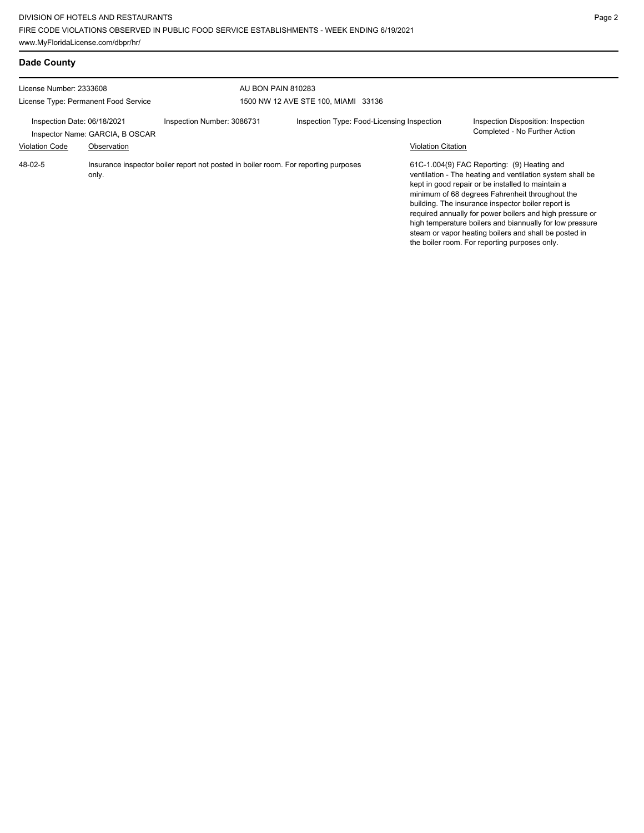| Dade County                                                     |                                 |                                                                                     |                                            |                           |                                                                                                                                                                                                                                                                                                                                                                                                                                                                                                          |
|-----------------------------------------------------------------|---------------------------------|-------------------------------------------------------------------------------------|--------------------------------------------|---------------------------|----------------------------------------------------------------------------------------------------------------------------------------------------------------------------------------------------------------------------------------------------------------------------------------------------------------------------------------------------------------------------------------------------------------------------------------------------------------------------------------------------------|
| License Number: 2333608<br>License Type: Permanent Food Service |                                 | AU BON PAIN 810283                                                                  |                                            |                           |                                                                                                                                                                                                                                                                                                                                                                                                                                                                                                          |
|                                                                 |                                 |                                                                                     | 1500 NW 12 AVE STE 100, MIAMI 33136        |                           |                                                                                                                                                                                                                                                                                                                                                                                                                                                                                                          |
| Inspection Date: 06/18/2021                                     | Inspector Name: GARCIA, B OSCAR | Inspection Number: 3086731                                                          | Inspection Type: Food-Licensing Inspection |                           | Inspection Disposition: Inspection<br>Completed - No Further Action                                                                                                                                                                                                                                                                                                                                                                                                                                      |
| <b>Violation Code</b>                                           | Observation                     |                                                                                     |                                            | <b>Violation Citation</b> |                                                                                                                                                                                                                                                                                                                                                                                                                                                                                                          |
| 48-02-5                                                         | only.                           | Insurance inspector boiler report not posted in boiler room. For reporting purposes |                                            |                           | 61C-1.004(9) FAC Reporting: (9) Heating and<br>ventilation - The heating and ventilation system shall be<br>kept in good repair or be installed to maintain a<br>minimum of 68 degrees Fahrenheit throughout the<br>building. The insurance inspector boiler report is<br>required annually for power boilers and high pressure or<br>high temperature boilers and biannually for low pressure<br>steam or vapor heating boilers and shall be posted in<br>the boiler room. For reporting purposes only. |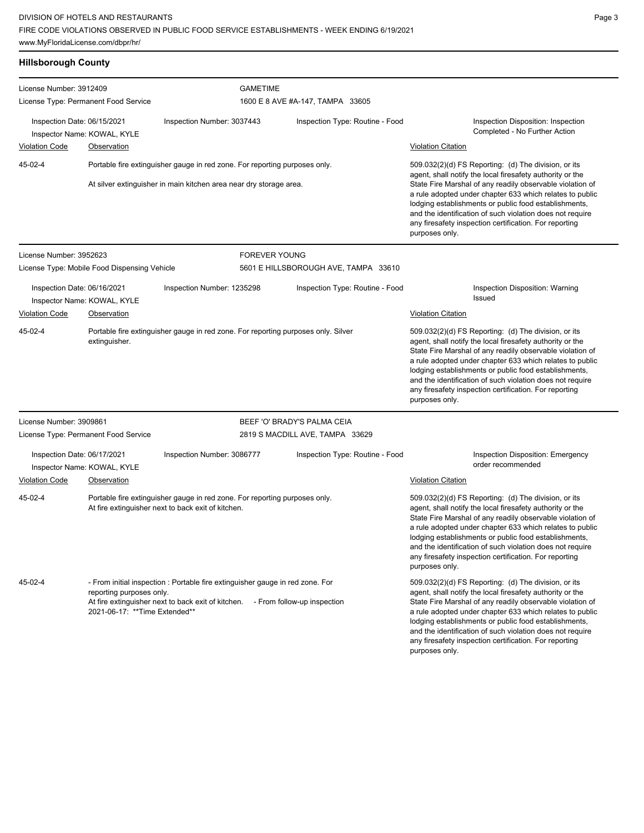| <b>Hillsborough County</b>                                                                                    |                                                                                                                                                  |                                                                                                                                                                 |                      |                                                                                                                                                                                                                                                                                                                                                                                                                                              |                                                                                                                                                                                                                                                                                                                                                                                                                                              |
|---------------------------------------------------------------------------------------------------------------|--------------------------------------------------------------------------------------------------------------------------------------------------|-----------------------------------------------------------------------------------------------------------------------------------------------------------------|----------------------|----------------------------------------------------------------------------------------------------------------------------------------------------------------------------------------------------------------------------------------------------------------------------------------------------------------------------------------------------------------------------------------------------------------------------------------------|----------------------------------------------------------------------------------------------------------------------------------------------------------------------------------------------------------------------------------------------------------------------------------------------------------------------------------------------------------------------------------------------------------------------------------------------|
| License Number: 3912409<br>License Type: Permanent Food Service                                               |                                                                                                                                                  | <b>GAMETIME</b><br>1600 E 8 AVE #A-147, TAMPA 33605                                                                                                             |                      |                                                                                                                                                                                                                                                                                                                                                                                                                                              |                                                                                                                                                                                                                                                                                                                                                                                                                                              |
| Inspection Date: 06/15/2021                                                                                   | Inspector Name: KOWAL, KYLE                                                                                                                      | Inspection Number: 3037443                                                                                                                                      |                      | Inspection Type: Routine - Food                                                                                                                                                                                                                                                                                                                                                                                                              | Inspection Disposition: Inspection<br>Completed - No Further Action                                                                                                                                                                                                                                                                                                                                                                          |
| <b>Violation Code</b>                                                                                         | <b>Observation</b>                                                                                                                               |                                                                                                                                                                 |                      |                                                                                                                                                                                                                                                                                                                                                                                                                                              | <b>Violation Citation</b>                                                                                                                                                                                                                                                                                                                                                                                                                    |
| 45-02-4                                                                                                       | Portable fire extinguisher gauge in red zone. For reporting purposes only.<br>At silver extinguisher in main kitchen area near dry storage area. |                                                                                                                                                                 |                      | 509.032(2)(d) FS Reporting: (d) The division, or its<br>agent, shall notify the local firesafety authority or the<br>State Fire Marshal of any readily observable violation of<br>a rule adopted under chapter 633 which relates to public<br>lodging establishments or public food establishments,<br>and the identification of such violation does not require<br>any firesafety inspection certification. For reporting<br>purposes only. |                                                                                                                                                                                                                                                                                                                                                                                                                                              |
| License Number: 3952623                                                                                       |                                                                                                                                                  |                                                                                                                                                                 | <b>FOREVER YOUNG</b> |                                                                                                                                                                                                                                                                                                                                                                                                                                              |                                                                                                                                                                                                                                                                                                                                                                                                                                              |
|                                                                                                               | License Type: Mobile Food Dispensing Vehicle                                                                                                     |                                                                                                                                                                 |                      | 5601 E HILLSBOROUGH AVE, TAMPA 33610                                                                                                                                                                                                                                                                                                                                                                                                         |                                                                                                                                                                                                                                                                                                                                                                                                                                              |
| Inspection Date: 06/16/2021<br>Inspector Name: KOWAL, KYLE                                                    |                                                                                                                                                  | Inspection Number: 1235298                                                                                                                                      |                      | Inspection Type: Routine - Food                                                                                                                                                                                                                                                                                                                                                                                                              | Inspection Disposition: Warning<br><b>Issued</b>                                                                                                                                                                                                                                                                                                                                                                                             |
| <b>Violation Code</b>                                                                                         | Observation                                                                                                                                      |                                                                                                                                                                 |                      |                                                                                                                                                                                                                                                                                                                                                                                                                                              | <b>Violation Citation</b>                                                                                                                                                                                                                                                                                                                                                                                                                    |
| 45-02-4<br>Portable fire extinguisher gauge in red zone. For reporting purposes only. Silver<br>extinguisher. |                                                                                                                                                  |                                                                                                                                                                 |                      | 509.032(2)(d) FS Reporting: (d) The division, or its<br>agent, shall notify the local firesafety authority or the<br>State Fire Marshal of any readily observable violation of<br>a rule adopted under chapter 633 which relates to public<br>lodging establishments or public food establishments,<br>and the identification of such violation does not require<br>any firesafety inspection certification. For reporting<br>purposes only. |                                                                                                                                                                                                                                                                                                                                                                                                                                              |
| License Number: 3909861                                                                                       |                                                                                                                                                  |                                                                                                                                                                 |                      | BEEF 'O' BRADY'S PALMA CEIA                                                                                                                                                                                                                                                                                                                                                                                                                  |                                                                                                                                                                                                                                                                                                                                                                                                                                              |
| License Type: Permanent Food Service                                                                          |                                                                                                                                                  |                                                                                                                                                                 |                      | 2819 S MACDILL AVE, TAMPA 33629                                                                                                                                                                                                                                                                                                                                                                                                              |                                                                                                                                                                                                                                                                                                                                                                                                                                              |
| Inspection Date: 06/17/2021                                                                                   | Inspector Name: KOWAL, KYLE                                                                                                                      | Inspection Number: 3086777                                                                                                                                      |                      | Inspection Type: Routine - Food                                                                                                                                                                                                                                                                                                                                                                                                              | <b>Inspection Disposition: Emergency</b><br>order recommended                                                                                                                                                                                                                                                                                                                                                                                |
| <b>Violation Code</b>                                                                                         | Observation                                                                                                                                      |                                                                                                                                                                 |                      |                                                                                                                                                                                                                                                                                                                                                                                                                                              | <b>Violation Citation</b>                                                                                                                                                                                                                                                                                                                                                                                                                    |
| 45-02-4                                                                                                       |                                                                                                                                                  | Portable fire extinguisher gauge in red zone. For reporting purposes only.<br>At fire extinguisher next to back exit of kitchen.                                |                      |                                                                                                                                                                                                                                                                                                                                                                                                                                              | 509.032(2)(d) FS Reporting: (d) The division, or its<br>agent, shall notify the local firesafety authority or the<br>State Fire Marshal of any readily observable violation of<br>a rule adopted under chapter 633 which relates to public<br>lodging establishments or public food establishments,<br>and the identification of such violation does not require<br>any firesafety inspection certification. For reporting<br>purposes only. |
| 45-02-4                                                                                                       | reporting purposes only.<br>2021-06-17: ** Time Extended**                                                                                       | - From initial inspection : Portable fire extinguisher gauge in red zone. For<br>At fire extinguisher next to back exit of kitchen. - From follow-up inspection |                      |                                                                                                                                                                                                                                                                                                                                                                                                                                              | 509.032(2)(d) FS Reporting: (d) The division, or its<br>agent, shall notify the local firesafety authority or the<br>State Fire Marshal of any readily observable violation of<br>a rule adopted under chapter 633 which relates to public<br>lodging establishments or public food establishments,<br>and the identification of such violation does not require<br>any firesafety inspection certification. For reporting<br>purposes only. |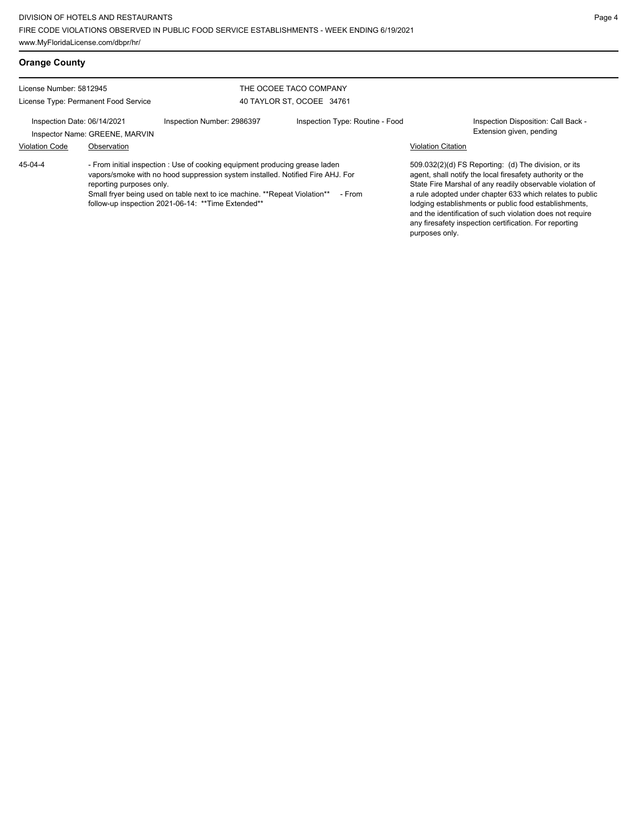# **Orange County**

45-04-4

License Number: 5812945 License Type: Permanent Food Service

### THE OCOEE TACO COMPANY 40 TAYLOR ST, OCOEE 34761

Inspection Date: 06/14/2021 Inspection Number: 2986397 Inspection Type: Routine - Food Inspection Disposition: Call Back -

Inspector Name: GREENE, MARVIN **Inspector Name: GREENE, MARVIN** 

## Violation Code Observation Violation Citation

- From initial inspection : Use of cooking equipment producing grease laden vapors/smoke with no hood suppression system installed. Notified Fire AHJ. For reporting purposes only. Small fryer being used on table next to ice machine. \*\*Repeat Violation\*\* - From

follow-up inspection 2021-06-14: \*\*Time Extended\*\*

509.032(2)(d) FS Reporting: (d) The division, or its agent, shall notify the local firesafety authority or the State Fire Marshal of any readily observable violation of a rule adopted under chapter 633 which relates to public lodging establishments or public food establishments, and the identification of such violation does not require any firesafety inspection certification. For reporting purposes only.